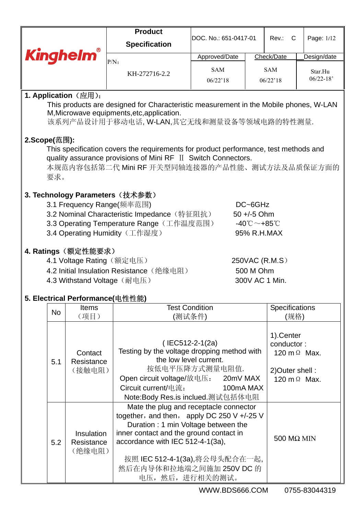|                                                                                                      |                                                 | <b>Product</b>                                                              | DOC. No.: 651-0417-01 |                                              |                |                                                                                                                                                                                                                                                                                     |  |  |  |  |  |  |  |
|------------------------------------------------------------------------------------------------------|-------------------------------------------------|-----------------------------------------------------------------------------|-----------------------|----------------------------------------------|----------------|-------------------------------------------------------------------------------------------------------------------------------------------------------------------------------------------------------------------------------------------------------------------------------------|--|--|--|--|--|--|--|
|                                                                                                      |                                                 | <b>Specification</b>                                                        |                       |                                              |                | Page: 1/12<br>Rev.: C<br>Design/date<br>Star.Hu<br>$06/22 - 18'$<br>This products are designed for Characteristic measurement in the Mobile phones, W-LAN<br>Specifications<br>(规格)<br>conductor:<br>120 m Ω Max.<br>2) Outer shell:<br>120 m $\Omega$ Max.<br>$500$ M $\Omega$ MIN |  |  |  |  |  |  |  |
|                                                                                                      | <b>Kinghelm®</b>                                |                                                                             | Approved/Date         |                                              | Check/Date     |                                                                                                                                                                                                                                                                                     |  |  |  |  |  |  |  |
|                                                                                                      |                                                 | $P/N$ :                                                                     | <b>SAM</b>            |                                              | <b>SAM</b>     |                                                                                                                                                                                                                                                                                     |  |  |  |  |  |  |  |
|                                                                                                      |                                                 | KH-272716-2.2                                                               | 06/22'18              |                                              | 06/22'18       |                                                                                                                                                                                                                                                                                     |  |  |  |  |  |  |  |
|                                                                                                      |                                                 |                                                                             |                       |                                              |                |                                                                                                                                                                                                                                                                                     |  |  |  |  |  |  |  |
|                                                                                                      | <b>1. Application</b> $(\n\times \mathbb{R})$ : |                                                                             |                       |                                              |                |                                                                                                                                                                                                                                                                                     |  |  |  |  |  |  |  |
|                                                                                                      |                                                 | M, Microwave equipments, etc, application.                                  |                       |                                              |                |                                                                                                                                                                                                                                                                                     |  |  |  |  |  |  |  |
|                                                                                                      |                                                 | 该系列产品设计用于移动电话, W-LAN,其它无线和测量设备等领域电路的特性测量.                                   |                       |                                              |                |                                                                                                                                                                                                                                                                                     |  |  |  |  |  |  |  |
|                                                                                                      |                                                 |                                                                             |                       |                                              |                |                                                                                                                                                                                                                                                                                     |  |  |  |  |  |  |  |
| 2.Scope(范围):<br>This specification covers the requirements for product performance, test methods and |                                                 |                                                                             |                       |                                              |                |                                                                                                                                                                                                                                                                                     |  |  |  |  |  |  |  |
|                                                                                                      |                                                 | quality assurance provisions of Mini RF II Switch Connectors.               |                       |                                              |                |                                                                                                                                                                                                                                                                                     |  |  |  |  |  |  |  |
|                                                                                                      |                                                 | 本规范内容包括第二代 Mini RF 开关型同轴连接器的产品性能、测试方法及品质保证方面的                               |                       |                                              |                |                                                                                                                                                                                                                                                                                     |  |  |  |  |  |  |  |
| 要求。                                                                                                  |                                                 |                                                                             |                       |                                              |                |                                                                                                                                                                                                                                                                                     |  |  |  |  |  |  |  |
|                                                                                                      |                                                 | 3. Technology Parameters (技术参数)                                             |                       |                                              |                |                                                                                                                                                                                                                                                                                     |  |  |  |  |  |  |  |
|                                                                                                      |                                                 | 3.1 Frequency Range(频率范围)                                                   |                       | DC~6GHz                                      |                |                                                                                                                                                                                                                                                                                     |  |  |  |  |  |  |  |
|                                                                                                      |                                                 | 3.2 Nominal Characteristic Impedance (特征阻抗)                                 |                       | 50 +/-5 Ohm                                  |                |                                                                                                                                                                                                                                                                                     |  |  |  |  |  |  |  |
|                                                                                                      |                                                 | 3.3 Operating Temperature Range (工作温度范围)                                    |                       | $-40^{\circ}\text{C}\sim+85^{\circ}\text{C}$ |                |                                                                                                                                                                                                                                                                                     |  |  |  |  |  |  |  |
|                                                                                                      |                                                 | 3.4 Operating Humidity (工作湿度)                                               |                       | 95% R.H.MAX                                  |                |                                                                                                                                                                                                                                                                                     |  |  |  |  |  |  |  |
|                                                                                                      | 4. Ratings (额定性能要求)                             |                                                                             |                       |                                              |                |                                                                                                                                                                                                                                                                                     |  |  |  |  |  |  |  |
|                                                                                                      | 4.1 Voltage Rating (额定电压)                       |                                                                             |                       |                                              | 250VAC (R.M.S) |                                                                                                                                                                                                                                                                                     |  |  |  |  |  |  |  |
|                                                                                                      |                                                 | 4.2 Initial Insulation Resistance (绝缘电阻)                                    |                       | 500 M Ohm                                    |                |                                                                                                                                                                                                                                                                                     |  |  |  |  |  |  |  |
|                                                                                                      |                                                 | 4.3 Withstand Voltage (耐电压)                                                 |                       |                                              | 300V AC 1 Min. |                                                                                                                                                                                                                                                                                     |  |  |  |  |  |  |  |
|                                                                                                      |                                                 |                                                                             |                       |                                              |                |                                                                                                                                                                                                                                                                                     |  |  |  |  |  |  |  |
|                                                                                                      | 5. Electrical Performance(电性性能)<br>Items        | <b>Test Condition</b>                                                       |                       |                                              |                |                                                                                                                                                                                                                                                                                     |  |  |  |  |  |  |  |
| <b>No</b>                                                                                            | (项目)                                            | (测试条件)                                                                      |                       |                                              |                |                                                                                                                                                                                                                                                                                     |  |  |  |  |  |  |  |
|                                                                                                      |                                                 |                                                                             |                       |                                              |                |                                                                                                                                                                                                                                                                                     |  |  |  |  |  |  |  |
|                                                                                                      |                                                 |                                                                             |                       |                                              | 1).Center      |                                                                                                                                                                                                                                                                                     |  |  |  |  |  |  |  |
|                                                                                                      | Contact                                         | (IEC512-2-1(2a)<br>Testing by the voltage dropping method with              |                       |                                              |                |                                                                                                                                                                                                                                                                                     |  |  |  |  |  |  |  |
| 5.1                                                                                                  | Resistance                                      | the low level current.                                                      |                       |                                              |                |                                                                                                                                                                                                                                                                                     |  |  |  |  |  |  |  |
|                                                                                                      | (接触电阻)                                          |                                                                             | 按低电平压降方式测量电阻值.        |                                              |                |                                                                                                                                                                                                                                                                                     |  |  |  |  |  |  |  |
|                                                                                                      |                                                 | Open circuit voltage/放电压:                                                   | 20mV MAX              |                                              |                |                                                                                                                                                                                                                                                                                     |  |  |  |  |  |  |  |
|                                                                                                      |                                                 | Circuit current/电流:<br>Note:Body Res.is inclued.测试包括体电阻                     | 100mA MAX             |                                              |                |                                                                                                                                                                                                                                                                                     |  |  |  |  |  |  |  |
|                                                                                                      |                                                 | Mate the plug and receptacle connector                                      |                       |                                              |                |                                                                                                                                                                                                                                                                                     |  |  |  |  |  |  |  |
|                                                                                                      |                                                 | together, and then, apply DC 250 V +/-25 V                                  |                       |                                              |                |                                                                                                                                                                                                                                                                                     |  |  |  |  |  |  |  |
|                                                                                                      |                                                 | Duration: 1 min Voltage between the                                         |                       |                                              |                |                                                                                                                                                                                                                                                                                     |  |  |  |  |  |  |  |
| 5.2                                                                                                  | Insulation<br>Resistance                        | inner contact and the ground contact in<br>accordance with IEC 512-4-1(3a), |                       |                                              |                |                                                                                                                                                                                                                                                                                     |  |  |  |  |  |  |  |
|                                                                                                      | (绝缘电阻)                                          |                                                                             |                       |                                              |                |                                                                                                                                                                                                                                                                                     |  |  |  |  |  |  |  |
|                                                                                                      |                                                 | 按照 IEC 512-4-1(3a),将公母头配合在一起,                                               |                       |                                              |                |                                                                                                                                                                                                                                                                                     |  |  |  |  |  |  |  |
|                                                                                                      |                                                 | 然后在内导体和拉地端之间施加 250V DC 的                                                    |                       |                                              |                |                                                                                                                                                                                                                                                                                     |  |  |  |  |  |  |  |
|                                                                                                      |                                                 | 电压, 然后, 进行相关的测试。                                                            |                       |                                              |                |                                                                                                                                                                                                                                                                                     |  |  |  |  |  |  |  |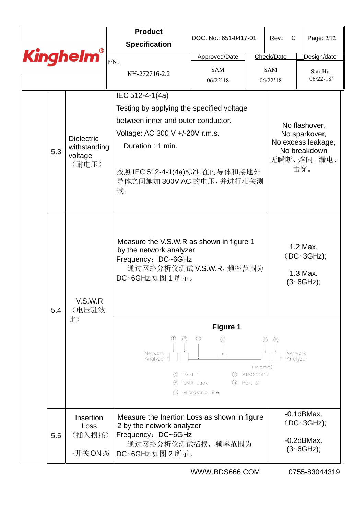|     |                                   | <b>Product</b>                                                                            |                                                                                                                                                         |  |                        |                                |  |  |  |
|-----|-----------------------------------|-------------------------------------------------------------------------------------------|---------------------------------------------------------------------------------------------------------------------------------------------------------|--|------------------------|--------------------------------|--|--|--|
|     |                                   | <b>Specification</b>                                                                      | DOC. No.: 651-0417-01                                                                                                                                   |  | Rev.: C                | Page: 2/12                     |  |  |  |
|     | <b>Kinghelm®</b>                  | $P/N$ :                                                                                   | Approved/Date                                                                                                                                           |  | Check/Date             | Design/date                    |  |  |  |
|     |                                   | KH-272716-2.2                                                                             | <b>SAM</b><br>06/22'18                                                                                                                                  |  | <b>SAM</b><br>06/22'18 | Star.Hu<br>$06/22 - 18'$       |  |  |  |
|     |                                   | IEC 512-4-1(4a)                                                                           |                                                                                                                                                         |  |                        |                                |  |  |  |
|     |                                   | Testing by applying the specified voltage                                                 |                                                                                                                                                         |  |                        |                                |  |  |  |
|     |                                   | between inner and outer conductor.                                                        |                                                                                                                                                         |  |                        |                                |  |  |  |
|     |                                   | Voltage: AC 300 V +/-20V r.m.s.                                                           |                                                                                                                                                         |  |                        | No flashover,<br>No sparkover, |  |  |  |
|     | <b>Dielectric</b><br>withstanding | Duration: 1 min.                                                                          |                                                                                                                                                         |  |                        | No excess leakage,             |  |  |  |
| 5.3 | voltage                           |                                                                                           |                                                                                                                                                         |  |                        | No breakdown<br>无瞬断、熔闪、漏电、     |  |  |  |
|     | (耐电压)                             | 按照 IEC 512-4-1(4a)标准,在内导体和接地外<br>导体之间施加 300V AC 的电压, 并进行相关测<br>试。                         |                                                                                                                                                         |  |                        | 击穿。                            |  |  |  |
| 5.4 | V.S.W.R<br>(电压驻波                  |                                                                                           | Measure the V.S.W.R as shown in figure 1<br>by the network analyzer<br>(DC~3GHz);<br>Frequency: DC~6GHz<br>通过网络分析仪测试 V.S.W.R, 频率范围为<br>DC~6GHz.如图 1 所示。 |  |                        |                                |  |  |  |
|     | 比)                                |                                                                                           | <b>Figure 1</b>                                                                                                                                         |  |                        |                                |  |  |  |
|     |                                   | ⊕<br>☺<br>Network<br>Analyzer<br>①<br>Port 1<br>SMA Jack<br>(2)<br>(3)<br>Microstrip line | ☺<br>⑤<br>Network<br>Analyzer<br>(unit:mm)<br>818000417                                                                                                 |  |                        |                                |  |  |  |
|     | Insertion<br>Loss                 |                                                                                           | Measure the Inertion Loss as shown in figure<br>2 by the network analyzer                                                                               |  |                        |                                |  |  |  |
| 5.5 | (插入损耗)                            | Frequency: DC~6GHz<br>通过网络分析仪测试插损, 频率范围为                                                  |                                                                                                                                                         |  | $-0.2$ dBMax.          |                                |  |  |  |
|     | -开关ON态                            | DC~6GHz.如图 2 所示。                                                                          | $(3 - 6GHz);$                                                                                                                                           |  |                        |                                |  |  |  |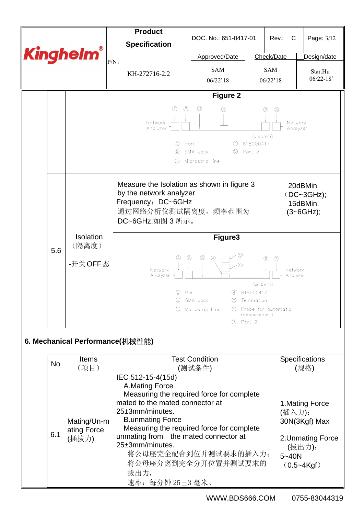

6.1

Mating/Un-m ating Force (插拔力)

B.unmating Force

25±3mm/minutes.

拔出力,

Measuring the required force for complete

将公母座完全配合到位并测试要求的插入力; 将公母座分离到完全分开位置并测试要求的

unmating from the mated connector at

速率:每分钟 25±3 毫米。

| (插入力):           |
|------------------|
| $ 30N(3Kgf)$ Max |

## 2.Unmating Force (拔出力): 5~40N (0.5~4Kgf)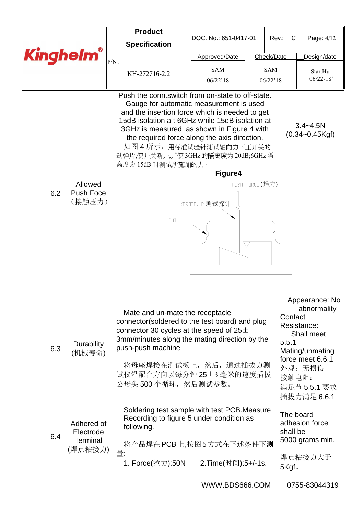|                  |     |                                                       | <b>Product</b>                                                                                                                                                                                                                                                                                                                                                                            | DOC. No.: 651-0417-01  |                 | Rev.:<br>C                     | Page: 4/12                                                                                                                                  |
|------------------|-----|-------------------------------------------------------|-------------------------------------------------------------------------------------------------------------------------------------------------------------------------------------------------------------------------------------------------------------------------------------------------------------------------------------------------------------------------------------------|------------------------|-----------------|--------------------------------|---------------------------------------------------------------------------------------------------------------------------------------------|
|                  |     |                                                       | <b>Specification</b>                                                                                                                                                                                                                                                                                                                                                                      |                        |                 |                                |                                                                                                                                             |
| <b>Kinghelm®</b> |     |                                                       | $P/N$ :                                                                                                                                                                                                                                                                                                                                                                                   | Approved/Date          | Check/Date      |                                | Design/date                                                                                                                                 |
|                  |     |                                                       | KH-272716-2.2                                                                                                                                                                                                                                                                                                                                                                             | <b>SAM</b><br>06/22'18 |                 | <b>SAM</b><br>06/22'18         | Star.Hu<br>$06/22 - 18'$                                                                                                                    |
|                  |     |                                                       | Push the conn.switch from on-state to off-state.<br>Gauge for automatic measurement is used<br>and the insertion force which is needed to get<br>15dB isolation a t 6GHz while 15dB isolation at<br>3GHz is measured .as shown in Figure 4 with<br>the required force along the axis direction.<br>如图 4 所示, 用标准试验针测试轴向力下压开关的<br>动弹片,使开关断开,并使 3GHz 的隔离度为 20dB;6GHz 隔<br>离度为 15dB 时测试所施加的力。 |                        |                 |                                | $3.4 - 4.5N$<br>$(0.34 - 0.45$ Kgf)                                                                                                         |
|                  |     |                                                       |                                                                                                                                                                                                                                                                                                                                                                                           | Figure4                |                 |                                |                                                                                                                                             |
|                  | 6.2 | Allowed<br><b>Push Foce</b><br>(接触压力)                 | DUT                                                                                                                                                                                                                                                                                                                                                                                       | (PRIBE) P 测试探针         | PUSH FORCE (推力) |                                |                                                                                                                                             |
|                  | 6.3 | <b>Durability</b><br>(机械寿命)                           | Mate and un-mate the receptacle<br>connector(soldered to the test board) and plug<br>connector 30 cycles at the speed of $25\pm$<br>3mm/minutes along the mating direction by the<br>push-push machine<br>将母座焊接在测试板上, 然后, 通过插拔力测<br>试仪沿配合方向以每分钟 25±3 毫米的速度插拔<br>公母头 500 个循环, 然后测试参数。                                                                                                      |                        |                 | Contact<br>5.5.1<br>接触电阻:      | Appearance: No<br>abnormality<br>Resistance:<br>Shall meet<br>Mating/unmating<br>force meet 6.6.1<br>外观: 无损伤<br>满足节 5.5.1 要求<br>插拔力满足 6.6.1 |
|                  | 6.4 | Adhered of<br>Electrode<br><b>Terminal</b><br>(焊点粘接力) | Soldering test sample with test PCB. Measure<br>Recording to figure 5 under condition as<br>following.<br>将产品焊在 PCB 上,按图 5 方式在下述条件下测<br>量:<br>1. Force(拉力):50N                                                                                                                                                                                                                            | 2.Time(时间):5+/-1s.     |                 | The board<br>shall be<br>5Kgf. | adhesion force<br>5000 grams min.<br>焊点粘接力大于                                                                                                |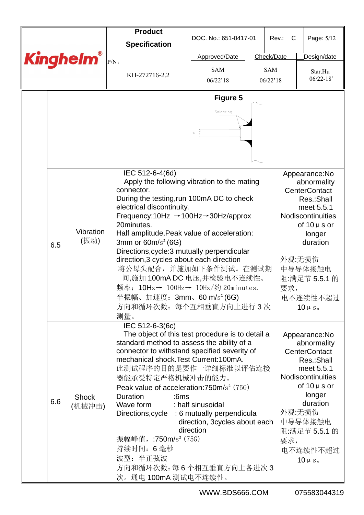|  |     |                        | <b>Product</b><br><b>Specification</b>                                                                                                                                                                                                                                                                                                                                                                                                                                                                                                                                          | DOC. No.: 651-0417-01                                           | Rev.:<br>C             | Page: 5/12                                                                                                                                                                                                          |
|--|-----|------------------------|---------------------------------------------------------------------------------------------------------------------------------------------------------------------------------------------------------------------------------------------------------------------------------------------------------------------------------------------------------------------------------------------------------------------------------------------------------------------------------------------------------------------------------------------------------------------------------|-----------------------------------------------------------------|------------------------|---------------------------------------------------------------------------------------------------------------------------------------------------------------------------------------------------------------------|
|  |     | <b>Kinghelm®</b>       | $P/N$ :                                                                                                                                                                                                                                                                                                                                                                                                                                                                                                                                                                         | Approved/Date                                                   | Check/Date             | Design/date                                                                                                                                                                                                         |
|  |     |                        | KH-272716-2.2                                                                                                                                                                                                                                                                                                                                                                                                                                                                                                                                                                   | <b>SAM</b><br>06/22'18                                          | <b>SAM</b><br>06/22'18 | Star.Hu<br>$06/22 - 18'$                                                                                                                                                                                            |
|  |     |                        |                                                                                                                                                                                                                                                                                                                                                                                                                                                                                                                                                                                 | <b>Figure 5</b><br>Soldering                                    |                        |                                                                                                                                                                                                                     |
|  | 6.5 | Vibration<br>(振动)      | IEC 512-6-4(6d)<br>Apply the following vibration to the mating<br>connector.<br>During the testing, run 100mA DC to check<br>electrical discontinuity.<br>Frequency:10Hz $\rightarrow$ 100Hz $\rightarrow$ 30Hz/approx<br>20minutes.<br>Half amplitude, Peak value of acceleration:<br>3mm or $60m/s^2$ (6G)<br>Directions, cycle: 3 mutually perpendicular<br>direction, 3 cycles about each direction<br>将公母头配合, 并施加如下条件测试。在测试期<br>间,施加 100mA DC 电压,并检验电不连续性。<br>频率: 10Hz→ 100Hz→ 10Hz/约 20minutes.<br>半振幅、加速度: 3mm、60 m/s <sup>2</sup> (6G)<br>方向和循环次数: 每个互相垂直方向上进行3次<br>测量。 |                                                                 | 要求,                    | Appearance:No<br>abnormality<br><b>CenterContact</b><br>Res.:Shall<br>meet 5.5.1<br>Nodiscontinuities<br>of $10 \mu s$ or<br>longer<br>duration<br>外观:无损伤<br>中导导体接触电<br>阻:满足节 5.5.1 的<br>电不连续性不超过<br>$10 \, \mu$ s. |
|  | 6.6 | <b>Shock</b><br>(机械冲击) | IEC 512-6-3(6c)<br>The object of this test procedure is to detail a<br>standard method to assess the ability of a<br>connector to withstand specified severity of<br>mechanical shock. Test Current: 100mA.<br>此测试程序的目的是要作一详细标准以评估连接<br>器能承受特定严格机械冲击的能力。<br>Peak value of acceleration: $750 \text{m/s}^2$ ( $75G$ )<br>Duration<br>:6ms<br>Wave form<br>Directions, cycle : 6 mutually perpendicula<br>振幅峰值, :750m/s <sup>2</sup> (75G)<br>持续时间: 6毫秒<br>波型: 半正弦波<br>方向和循环次数:每6个相互垂直方向上各进次3<br>次。通电 100mA 测试电不连续性。                                                              | : half sinusoidal<br>direction, 3cycles about each<br>direction | 要求,                    | Appearance:No<br>abnormality<br><b>CenterContact</b><br>Res.:Shall<br>meet 5.5.1<br>Nodiscontinuities<br>of $10 \mu s$ or<br>longer<br>duration<br>外观:无损伤<br>中导导体接触电<br>阻:满足节 5.5.1 的<br>电不连续性不超过<br>$10 \mu s$     |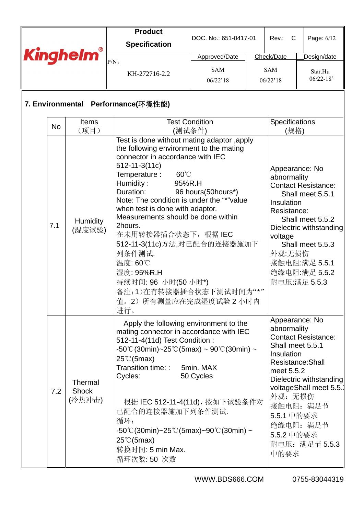|                  |           |                                   | <b>Product</b>                                                                                                                                                                                                                                                                                                                                                                                                                                                                                                                      |                                 |                                                                                                                              |                                                                                                                                                                     |
|------------------|-----------|-----------------------------------|-------------------------------------------------------------------------------------------------------------------------------------------------------------------------------------------------------------------------------------------------------------------------------------------------------------------------------------------------------------------------------------------------------------------------------------------------------------------------------------------------------------------------------------|---------------------------------|------------------------------------------------------------------------------------------------------------------------------|---------------------------------------------------------------------------------------------------------------------------------------------------------------------|
| <b>Kinghelm®</b> |           |                                   | <b>Specification</b>                                                                                                                                                                                                                                                                                                                                                                                                                                                                                                                | DOC. No.: 651-0417-01           | Rev.: C                                                                                                                      | Page: 6/12                                                                                                                                                          |
|                  |           |                                   | $P/N$ :                                                                                                                                                                                                                                                                                                                                                                                                                                                                                                                             | Approved/Date                   | Check/Date                                                                                                                   | Design/date                                                                                                                                                         |
|                  |           |                                   | KH-272716-2.2                                                                                                                                                                                                                                                                                                                                                                                                                                                                                                                       | <b>SAM</b><br>06/22'18          | <b>SAM</b><br>06/22'18                                                                                                       | Star.Hu<br>$06/22 - 18'$                                                                                                                                            |
|                  |           |                                   | 7. Environmental Performance(环境性能)                                                                                                                                                                                                                                                                                                                                                                                                                                                                                                  |                                 |                                                                                                                              |                                                                                                                                                                     |
|                  | <b>No</b> | <b>Items</b><br>(项目)              |                                                                                                                                                                                                                                                                                                                                                                                                                                                                                                                                     | <b>Test Condition</b><br>(测试条件) | Specifications<br>(规格)                                                                                                       |                                                                                                                                                                     |
|                  | 7.1       | <b>Humidity</b><br>(湿度试验)         | Test is done without mating adaptor, apply<br>the following environment to the mating<br>connector in accordance with IEC<br>$512 - 11 - 3(11c)$<br>Temperature :<br>$60^{\circ}$<br>Humidity:<br>95%R.H<br>Duration:<br>Note: The condition is under the "*"value<br>when test is done with adaptor.<br>Measurements should be done within<br>2hours.<br>在未用转接器插合状态下, 根据 IEC<br>512-11-3(11c)方法,对已配合的连接器施加下<br>列条件测试.<br>温度: 60℃<br>湿度: 95%R.H<br>持续时间: 96 小时(50 小时*)<br>备注:1)在有转接器插合状态下测试时间为"*"<br>值。2) 所有测量应在完成湿度试验 2 小时内<br>进行。 | 96 hours(50hours*)              | Appearance: No<br>abnormality<br>Insulation<br>Resistance:<br>voltage<br>外观:无损伤                                              | <b>Contact Resistance:</b><br>Shall meet 5.5.1<br>Shall meet 5.5.2<br>Dielectric withstanding<br>Shall meet 5.5.3<br>接触电阻:满足 5.5.1<br>绝缘电阻:满足 5.5.2<br>耐电压:满足 5.5.3 |
|                  | 7.2       | Thermal<br><b>Shock</b><br>(冷热冲击) | Apply the following environment to the<br>mating connector in accordance with IEC<br>512-11-4(11d) Test Condition:<br>$-50^{\circ}$ C(30min)~25°C(5max) ~ 90°C(30min) ~<br>$25^{\circ}$ C(5max)<br>Transition time: :<br>Cycles:<br>根据 IEC 512-11-4(11d), 按如下试验条件对<br>已配合的连接器施加下列条件测试.<br>循环:<br>$-50^{\circ}$ C(30min)~25 $^{\circ}$ C(5max)~90 $^{\circ}$ C(30min) ~<br>$25^{\circ}$ C(5max)<br>转换时间: 5 min Max.<br>循环次数:50次数                                                                                                     | 5min. MAX<br>50 Cycles          | Appearance: No<br>abnormality<br>Shall meet 5.5.1<br>Insulation<br>meet 5.5.2<br>外观: 无损伤<br>5.5.1 中的要求<br>5.5.2 中的要求<br>中的要求 | <b>Contact Resistance:</b><br>Resistance: Shall<br>Dielectric withstanding<br>voltageShall meet 5.5.<br>接触电阻: 满足节<br>绝缘电阻: 满足节<br>耐电压: 满足节 5.5.3                    |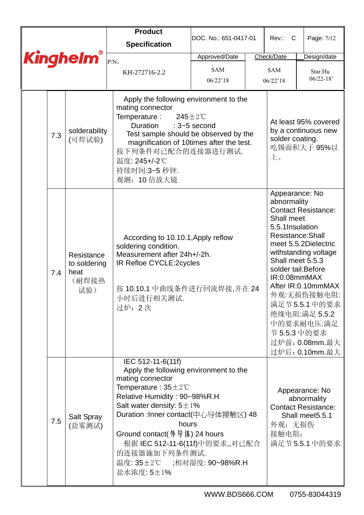|  |     |                                                    | <b>Product</b>                                                                                                                                                                                                                                                                                                                          | DOC. No.: 651-0417-01                   | Rev.: C                                                                         | Page: 7/12                                                                                                                                                                                                                                                                          |
|--|-----|----------------------------------------------------|-----------------------------------------------------------------------------------------------------------------------------------------------------------------------------------------------------------------------------------------------------------------------------------------------------------------------------------------|-----------------------------------------|---------------------------------------------------------------------------------|-------------------------------------------------------------------------------------------------------------------------------------------------------------------------------------------------------------------------------------------------------------------------------------|
|  |     |                                                    | <b>Specification</b>                                                                                                                                                                                                                                                                                                                    |                                         |                                                                                 |                                                                                                                                                                                                                                                                                     |
|  |     | <b>Kinghelm®</b>                                   | $P/N$ :                                                                                                                                                                                                                                                                                                                                 | Approved/Date                           | Check/Date                                                                      | Design/date                                                                                                                                                                                                                                                                         |
|  |     |                                                    | KH-272716-2.2                                                                                                                                                                                                                                                                                                                           | <b>SAM</b><br>06/22'18                  | <b>SAM</b><br>06/22'18                                                          | Star.Hu<br>$06/22 - 18'$                                                                                                                                                                                                                                                            |
|  | 7.3 | solderability<br>(可焊试验)                            | Apply the following environment to the<br>mating connector<br>Temperature :<br>Duration<br>Test sample should be observed by the<br>magnification of 10times after the test.<br>按下列条件对已配合的连接器进行测试.<br>温度: 245+/-2℃<br>持续时间:3~5 秒钟.<br>观测: 10 倍放大镜                                                                                       | $245 \pm 2^{\circ}$ C<br>: $3-5$ second | solder coating.<br>上。                                                           | At least 95% covered<br>by a continuous new<br>吃锡面积大于 95%以                                                                                                                                                                                                                          |
|  | 7.4 | Resistance<br>to soldering<br>heat<br>(耐焊接热<br>试验) | According to 10.10.1, Apply reflow<br>soldering condition.<br>Measurement after 24h+/-2h.<br>IR Refloe CYCLE:2cycles<br>按 10.10.1 中曲线条件进行回流焊接,并在 24<br>小时后进行相关测试<br>过炉: 2次                                                                                                                                                              |                                         | Appearance: No<br>abnormality<br>Shall meet<br>5.5.1 Insulation<br>IR:0.08mmMAX | <b>Contact Resistance:</b><br>Resistance: Shall<br>meet 5.5.2Dielectric<br>withstanding voltage<br>Shall meet 5.5.3<br>solder tail: Before<br>After IR:0.10mmMAX<br>外观:无损伤接触电阻:<br>满足节5.5.1 中的要求<br>绝缘电阻:满足 5.5.2<br>中的要求耐电压:满足<br>节 5.5.3 中的要求<br>过炉前: 0.08mm.最大<br>过炉后: 0.10mm.最大 |
|  | 7.5 | Salt Spray<br>(盐雾测试)                               | IEC 512-11-6(11f)<br>Apply the following environment to the<br>mating connector<br>Temperature: $35 \pm 2^{\circ}$ C<br>Relative Humidity: 90~98%R.H<br>Salt water density: $5 \pm 1\%$<br>Duration : Inner contact(中心导体接触区) 48<br>hours<br>根据 IEC 512-11-6(11f)中的要求,,对已配合<br>的连接器施加下列条件测试.<br>温度: 35±2℃ ;相对湿度: 90~98%R.H<br>盐水浓度: 5±1% |                                         | 外观: 无损伤<br>接触电阻:                                                                | Appearance: No<br>abnormality<br><b>Contact Resistance:</b><br>Shall meet5.5.1<br>满足节5.5.1 中的要求                                                                                                                                                                                     |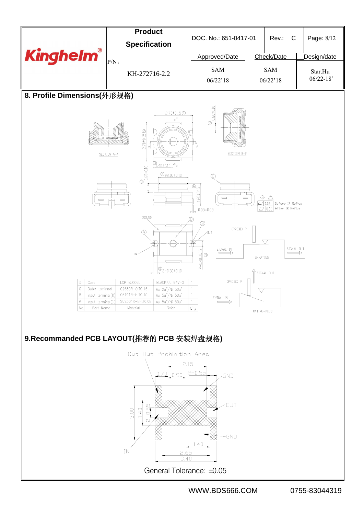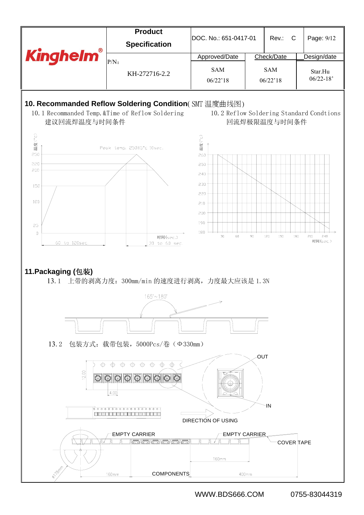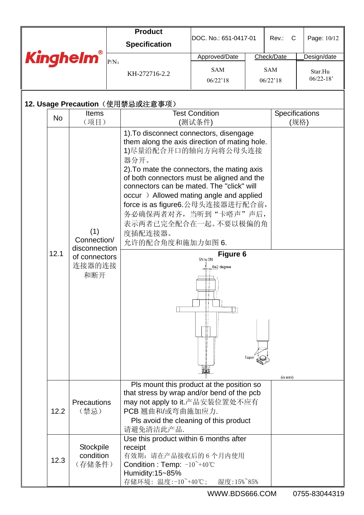|                                          |           |                                                                       |         | <b>Product</b>                                                                                                                                                                                                                                                                                                                                                                                                                    |                                    |      |                        |                          |  |
|------------------------------------------|-----------|-----------------------------------------------------------------------|---------|-----------------------------------------------------------------------------------------------------------------------------------------------------------------------------------------------------------------------------------------------------------------------------------------------------------------------------------------------------------------------------------------------------------------------------------|------------------------------------|------|------------------------|--------------------------|--|
|                                          |           |                                                                       |         | <b>Specification</b>                                                                                                                                                                                                                                                                                                                                                                                                              | DOC. No.: 651-0417-01              |      | Rev.:<br>$\mathbf C$   | Page: 10/12              |  |
|                                          |           | <b>Kinghelm®</b>                                                      | $P/N$ : |                                                                                                                                                                                                                                                                                                                                                                                                                                   | Approved/Date                      |      | Check/Date             | Design/date              |  |
|                                          |           |                                                                       |         | KH-272716-2.2                                                                                                                                                                                                                                                                                                                                                                                                                     | <b>SAM</b><br>06/22'18             |      | <b>SAM</b><br>06/22'18 | Star.Hu<br>$06/22 - 18'$ |  |
|                                          |           |                                                                       |         |                                                                                                                                                                                                                                                                                                                                                                                                                                   |                                    |      |                        |                          |  |
|                                          |           |                                                                       |         | 12. Usage Precaution(使用禁忌或注意事项)                                                                                                                                                                                                                                                                                                                                                                                                   |                                    |      |                        |                          |  |
|                                          | <b>No</b> | <b>Items</b>                                                          |         |                                                                                                                                                                                                                                                                                                                                                                                                                                   | <b>Test Condition</b>              |      | Specifications         |                          |  |
|                                          |           | (项目)                                                                  |         |                                                                                                                                                                                                                                                                                                                                                                                                                                   | (测试条件)                             |      |                        | (规格)                     |  |
|                                          | 12.1      | (1)<br>Connection/<br>disconnection<br>of connectors<br>连接器的连接<br>和断开 |         | 1). To disconnect connectors, disengage<br>them along the axis direction of mating hole.<br>1)尽量沿配合开口的轴向方向将公母头连接<br>器分开。<br>2). To mate the connectors, the mating axis<br>of both connectors must be aligned and the<br>connectors can be mated. The "click" will<br>occur) Allowed mating angle and applied<br>force is as figure6.公母头连接器进行配合前,<br>务必确保两者对齐, 当听到"卡嗒声"声后,<br>表示两者已完全配合在一起。不要以极偏的角<br>度插配连接器。<br>允许的配合角度和施加力如图 6. | Figure 6<br>5N to 9N<br>0±2 degree | lape | (in m <sub>m</sub> )   |                          |  |
|                                          | 12.2      | Precautions<br>(禁忌)                                                   |         | Pls mount this product at the position so<br>that stress by wrap and/or bend of the pcb<br>may not apply to it.产品安装位置处不应有<br>PCB翘曲和/或弯曲施加应力.<br>Pls avoid the cleaning of this product<br>请避免清洁此产品.                                                                                                                                                                                                                               |                                    |      |                        |                          |  |
| Stockpile<br>condition<br>12.3<br>(存储条件) |           |                                                                       |         | Use this product within 6 months after<br>receipt<br>有效期: 请在产品接收后的6个月内使用<br>Condition : Temp: $-10^{\sim}+40^{\sim}$<br>Humidity: 15~85%<br>存储环境: 温度:-10 40℃;                                                                                                                                                                                                                                                                     | 湿度:15%~85%                         |      |                        |                          |  |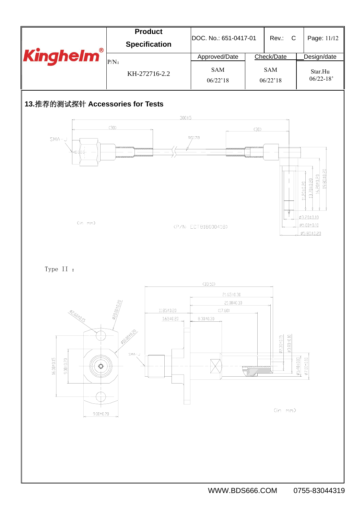